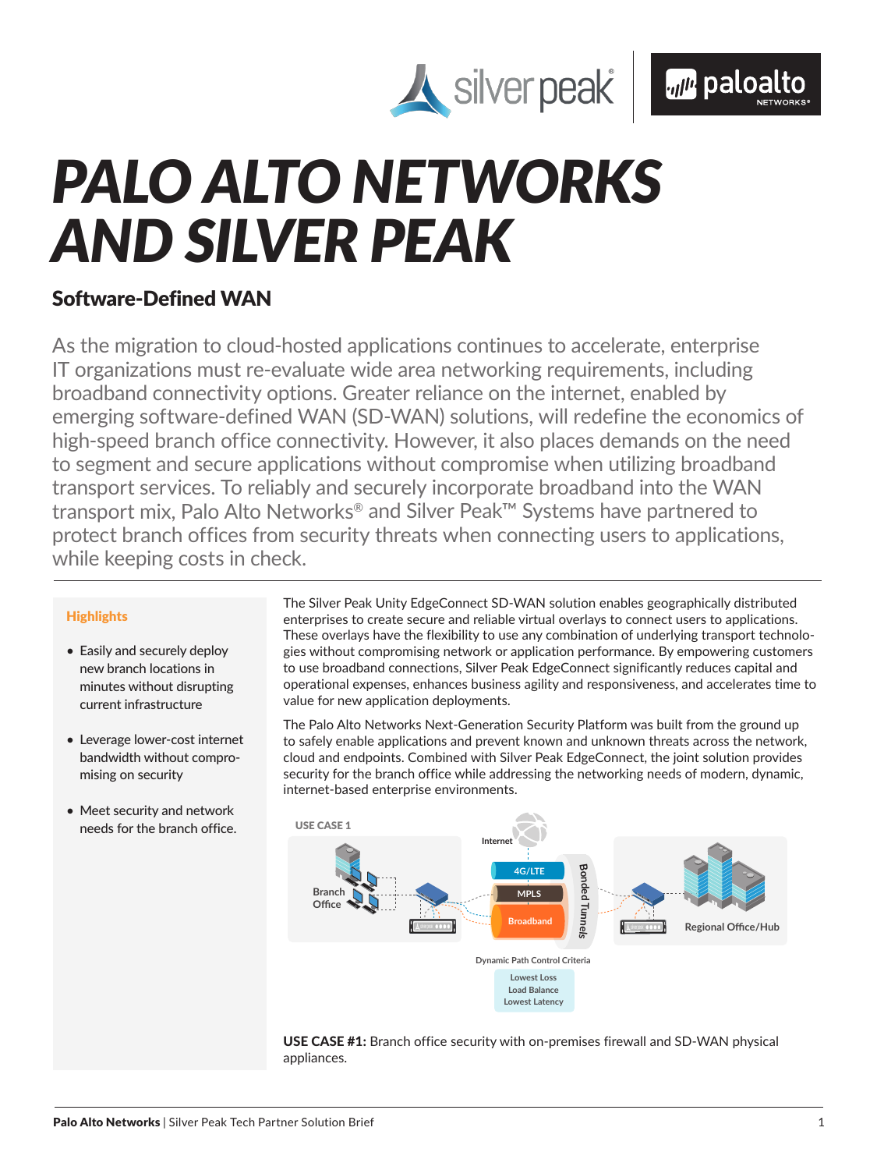



# *PALO ALTO NETWORKS AND SILVER PEAK*

# Software-Defined WAN

As the migration to cloud-hosted applications continues to accelerate, enterprise IT organizations must re-evaluate wide area networking requirements, including broadband connectivity options. Greater reliance on the internet, enabled by emerging software-defined WAN (SD-WAN) solutions, will redefine the economics of high-speed branch office connectivity. However, it also places demands on the need to segment and secure applications without compromise when utilizing broadband transport services. To reliably and securely incorporate broadband into the WAN transport mix, Palo Alto Networks® and Silver Peak™ Systems have partnered to protect branch offices from security threats when connecting users to applications, while keeping costs in check.

# **Highlights**

- Easily and securely deploy new branch locations in minutes without disrupting current infrastructure
- Leverage lower-cost internet bandwidth without compromising on security
- Meet security and network needs for the branch office.

The Silver Peak Unity EdgeConnect SD-WAN solution enables geographically distributed enterprises to create secure and reliable virtual overlays to connect users to applications. These overlays have the flexibility to use any combination of underlying transport technologies without compromising network or application performance. By empowering customers to use broadband connections, Silver Peak EdgeConnect significantly reduces capital and operational expenses, enhances business agility and responsiveness, and accelerates time to value for new application deployments.

The Palo Alto Networks Next-Generation Security Platform was built from the ground up to safely enable applications and prevent known and unknown threats across the network, cloud and endpoints. Combined with Silver Peak EdgeConnect, the joint solution provides security for the branch office while addressing the networking needs of modern, dynamic, internet-based enterprise environments.